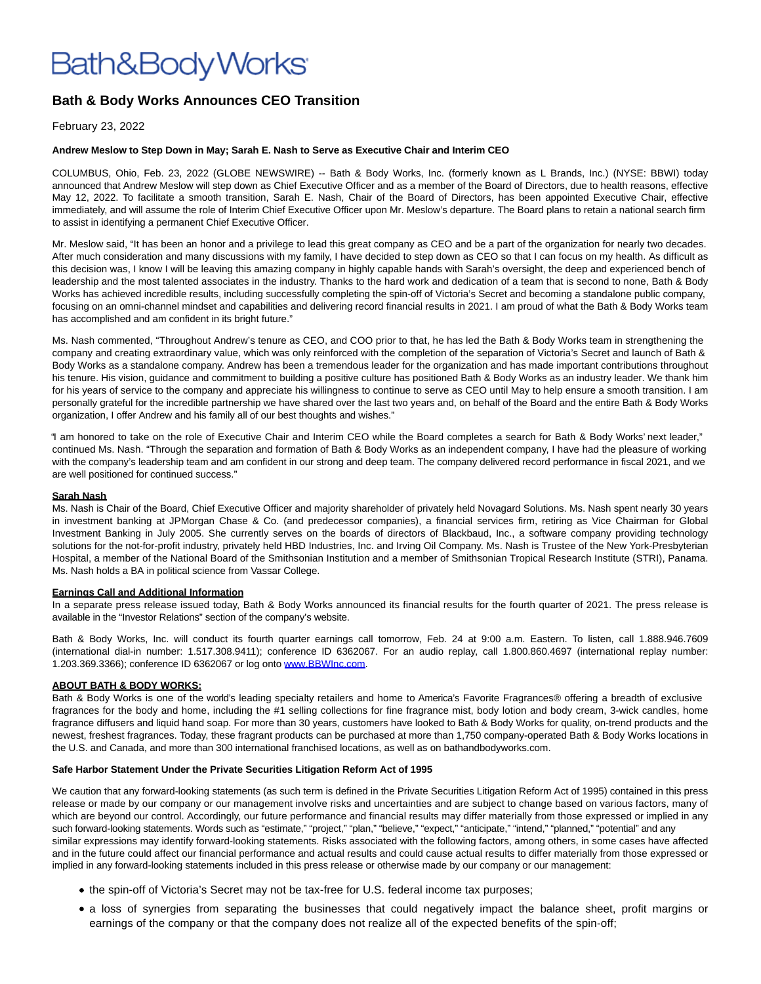# Bath&BodyWorks<sup>®</sup>

## **Bath & Body Works Announces CEO Transition**

February 23, 2022

### **Andrew Meslow to Step Down in May; Sarah E. Nash to Serve as Executive Chair and Interim CEO**

COLUMBUS, Ohio, Feb. 23, 2022 (GLOBE NEWSWIRE) -- Bath & Body Works, Inc. (formerly known as L Brands, Inc.) (NYSE: BBWI) today announced that Andrew Meslow will step down as Chief Executive Officer and as a member of the Board of Directors, due to health reasons, effective May 12, 2022. To facilitate a smooth transition, Sarah E. Nash, Chair of the Board of Directors, has been appointed Executive Chair, effective immediately, and will assume the role of Interim Chief Executive Officer upon Mr. Meslow's departure. The Board plans to retain a national search firm to assist in identifying a permanent Chief Executive Officer.

Mr. Meslow said, "It has been an honor and a privilege to lead this great company as CEO and be a part of the organization for nearly two decades. After much consideration and many discussions with my family, I have decided to step down as CEO so that I can focus on my health. As difficult as this decision was, I know I will be leaving this amazing company in highly capable hands with Sarah's oversight, the deep and experienced bench of leadership and the most talented associates in the industry. Thanks to the hard work and dedication of a team that is second to none, Bath & Body Works has achieved incredible results, including successfully completing the spin-off of Victoria's Secret and becoming a standalone public company, focusing on an omni-channel mindset and capabilities and delivering record financial results in 2021. I am proud of what the Bath & Body Works team has accomplished and am confident in its bright future."

Ms. Nash commented, "Throughout Andrew's tenure as CEO, and COO prior to that, he has led the Bath & Body Works team in strengthening the company and creating extraordinary value, which was only reinforced with the completion of the separation of Victoria's Secret and launch of Bath & Body Works as a standalone company. Andrew has been a tremendous leader for the organization and has made important contributions throughout his tenure. His vision, guidance and commitment to building a positive culture has positioned Bath & Body Works as an industry leader. We thank him for his years of service to the company and appreciate his willingness to continue to serve as CEO until May to help ensure a smooth transition. I am personally grateful for the incredible partnership we have shared over the last two years and, on behalf of the Board and the entire Bath & Body Works organization, I offer Andrew and his family all of our best thoughts and wishes."

"I am honored to take on the role of Executive Chair and Interim CEO while the Board completes a search for Bath & Body Works' next leader," continued Ms. Nash. "Through the separation and formation of Bath & Body Works as an independent company, I have had the pleasure of working with the company's leadership team and am confident in our strong and deep team. The company delivered record performance in fiscal 2021, and we are well positioned for continued success."

### **Sarah Nash**

Ms. Nash is Chair of the Board, Chief Executive Officer and majority shareholder of privately held Novagard Solutions. Ms. Nash spent nearly 30 years in investment banking at JPMorgan Chase & Co. (and predecessor companies), a financial services firm, retiring as Vice Chairman for Global Investment Banking in July 2005. She currently serves on the boards of directors of Blackbaud, Inc., a software company providing technology solutions for the not-for-profit industry, privately held HBD Industries, Inc. and Irving Oil Company. Ms. Nash is Trustee of the New York-Presbyterian Hospital, a member of the National Board of the Smithsonian Institution and a member of Smithsonian Tropical Research Institute (STRI), Panama. Ms. Nash holds a BA in political science from Vassar College.

### **Earnings Call and Additional Information**

In a separate press release issued today, Bath & Body Works announced its financial results for the fourth quarter of 2021. The press release is available in the "Investor Relations" section of the company's website.

Bath & Body Works, Inc. will conduct its fourth quarter earnings call tomorrow, Feb. 24 at 9:00 a.m. Eastern. To listen, call 1.888.946.7609 (international dial-in number: 1.517.308.9411); conference ID 6362067. For an audio replay, call 1.800.860.4697 (international replay number: 1.203.369.3366); conference ID 6362067 or log onto [www.BBWInc.com.](https://www.globenewswire.com/Tracker?data=XvB2n-o8omwUQFJQDEnwIXM6JxDzRteT4gfDundJbACu_RoofsZkI3PX0IZ9N_Okk_iUIvSvMCreLHROWExXxg==)

### **ABOUT BATH & BODY WORKS:**

Bath & Body Works is one of the world's leading specialty retailers and home to America's Favorite Fragrances® offering a breadth of exclusive fragrances for the body and home, including the #1 selling collections for fine fragrance mist, body lotion and body cream, 3-wick candles, home fragrance diffusers and liquid hand soap. For more than 30 years, customers have looked to Bath & Body Works for quality, on-trend products and the newest, freshest fragrances. Today, these fragrant products can be purchased at more than 1,750 company-operated Bath & Body Works locations in the U.S. and Canada, and more than 300 international franchised locations, as well as on bathandbodyworks.com.

### **Safe Harbor Statement Under the Private Securities Litigation Reform Act of 1995**

We caution that any forward-looking statements (as such term is defined in the Private Securities Litigation Reform Act of 1995) contained in this press release or made by our company or our management involve risks and uncertainties and are subject to change based on various factors, many of which are beyond our control. Accordingly, our future performance and financial results may differ materially from those expressed or implied in any such forward-looking statements. Words such as "estimate," "project," "plan," "believe," "expect," "anticipate," "intend," "planned," "potential" and any similar expressions may identify forward-looking statements. Risks associated with the following factors, among others, in some cases have affected and in the future could affect our financial performance and actual results and could cause actual results to differ materially from those expressed or implied in any forward-looking statements included in this press release or otherwise made by our company or our management:

- the spin-off of Victoria's Secret may not be tax-free for U.S. federal income tax purposes;
- a loss of synergies from separating the businesses that could negatively impact the balance sheet, profit margins or earnings of the company or that the company does not realize all of the expected benefits of the spin-off;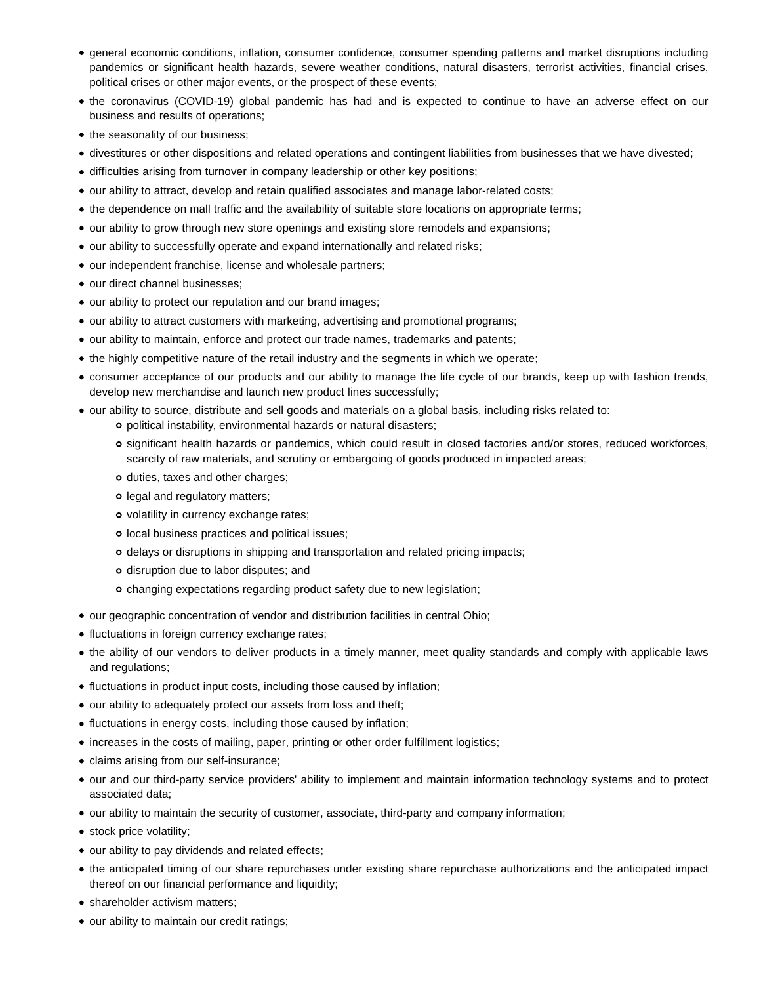- general economic conditions, inflation, consumer confidence, consumer spending patterns and market disruptions including pandemics or significant health hazards, severe weather conditions, natural disasters, terrorist activities, financial crises, political crises or other major events, or the prospect of these events;
- the coronavirus (COVID-19) global pandemic has had and is expected to continue to have an adverse effect on our business and results of operations;
- the seasonality of our business;
- divestitures or other dispositions and related operations and contingent liabilities from businesses that we have divested;
- difficulties arising from turnover in company leadership or other key positions;
- our ability to attract, develop and retain qualified associates and manage labor-related costs;
- the dependence on mall traffic and the availability of suitable store locations on appropriate terms;
- our ability to grow through new store openings and existing store remodels and expansions;
- our ability to successfully operate and expand internationally and related risks;
- our independent franchise, license and wholesale partners;
- our direct channel businesses;
- our ability to protect our reputation and our brand images;
- our ability to attract customers with marketing, advertising and promotional programs;
- our ability to maintain, enforce and protect our trade names, trademarks and patents;
- the highly competitive nature of the retail industry and the segments in which we operate;
- consumer acceptance of our products and our ability to manage the life cycle of our brands, keep up with fashion trends, develop new merchandise and launch new product lines successfully;
- our ability to source, distribute and sell goods and materials on a global basis, including risks related to:
	- political instability, environmental hazards or natural disasters;
	- significant health hazards or pandemics, which could result in closed factories and/or stores, reduced workforces, scarcity of raw materials, and scrutiny or embargoing of goods produced in impacted areas;
	- o duties, taxes and other charges;
	- o legal and regulatory matters;
	- o volatility in currency exchange rates;
	- o local business practices and political issues;
	- o delays or disruptions in shipping and transportation and related pricing impacts;
	- o disruption due to labor disputes; and
	- changing expectations regarding product safety due to new legislation;
- our geographic concentration of vendor and distribution facilities in central Ohio;
- $\bullet$  fluctuations in foreign currency exchange rates;
- the ability of our vendors to deliver products in a timely manner, meet quality standards and comply with applicable laws and regulations;
- fluctuations in product input costs, including those caused by inflation;
- our ability to adequately protect our assets from loss and theft;
- fluctuations in energy costs, including those caused by inflation;
- increases in the costs of mailing, paper, printing or other order fulfillment logistics;
- claims arising from our self-insurance;
- our and our third-party service providers' ability to implement and maintain information technology systems and to protect associated data;
- our ability to maintain the security of customer, associate, third-party and company information;
- stock price volatility;
- our ability to pay dividends and related effects;
- the anticipated timing of our share repurchases under existing share repurchase authorizations and the anticipated impact thereof on our financial performance and liquidity;
- shareholder activism matters;
- our ability to maintain our credit ratings;